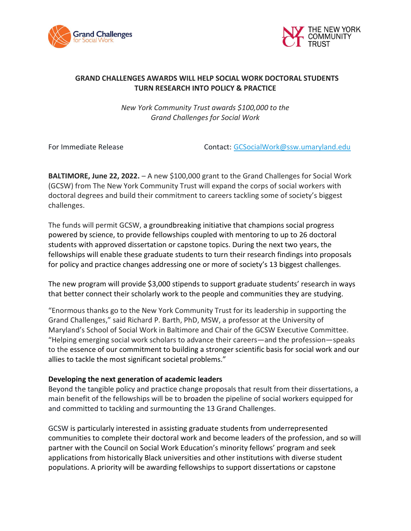



## GRAND CHALLENGES AWARDS WILL HELP SOCIAL WORK DOCTORAL STUDENTS TURN RESEARCH INTO POLICY & PRACTICE

New York Community Trust awards \$100,000 to the Grand Challenges for Social Work

For Immediate Release Contact: GCSocialWork@ssw.umaryland.edu

BALTIMORE, June 22, 2022. – A new \$100,000 grant to the Grand Challenges for Social Work (GCSW) from The New York Community Trust will expand the corps of social workers with doctoral degrees and build their commitment to careers tackling some of society's biggest challenges.

The funds will permit GCSW, a groundbreaking initiative that champions social progress powered by science, to provide fellowships coupled with mentoring to up to 26 doctoral students with approved dissertation or capstone topics. During the next two years, the fellowships will enable these graduate students to turn their research findings into proposals for policy and practice changes addressing one or more of society's 13 biggest challenges.

The new program will provide \$3,000 stipends to support graduate students' research in ways that better connect their scholarly work to the people and communities they are studying.

"Enormous thanks go to the New York Community Trust for its leadership in supporting the Grand Challenges," said Richard P. Barth, PhD, MSW, a professor at the University of Maryland's School of Social Work in Baltimore and Chair of the GCSW Executive Committee. "Helping emerging social work scholars to advance their careers—and the profession—speaks to the essence of our commitment to building a stronger scientific basis for social work and our allies to tackle the most significant societal problems."

## Developing the next generation of academic leaders

Beyond the tangible policy and practice change proposals that result from their dissertations, a main benefit of the fellowships will be to broaden the pipeline of social workers equipped for and committed to tackling and surmounting the 13 Grand Challenges.

GCSW is particularly interested in assisting graduate students from underrepresented communities to complete their doctoral work and become leaders of the profession, and so will partner with the Council on Social Work Education's minority fellows' program and seek applications from historically Black universities and other institutions with diverse student populations. A priority will be awarding fellowships to support dissertations or capstone